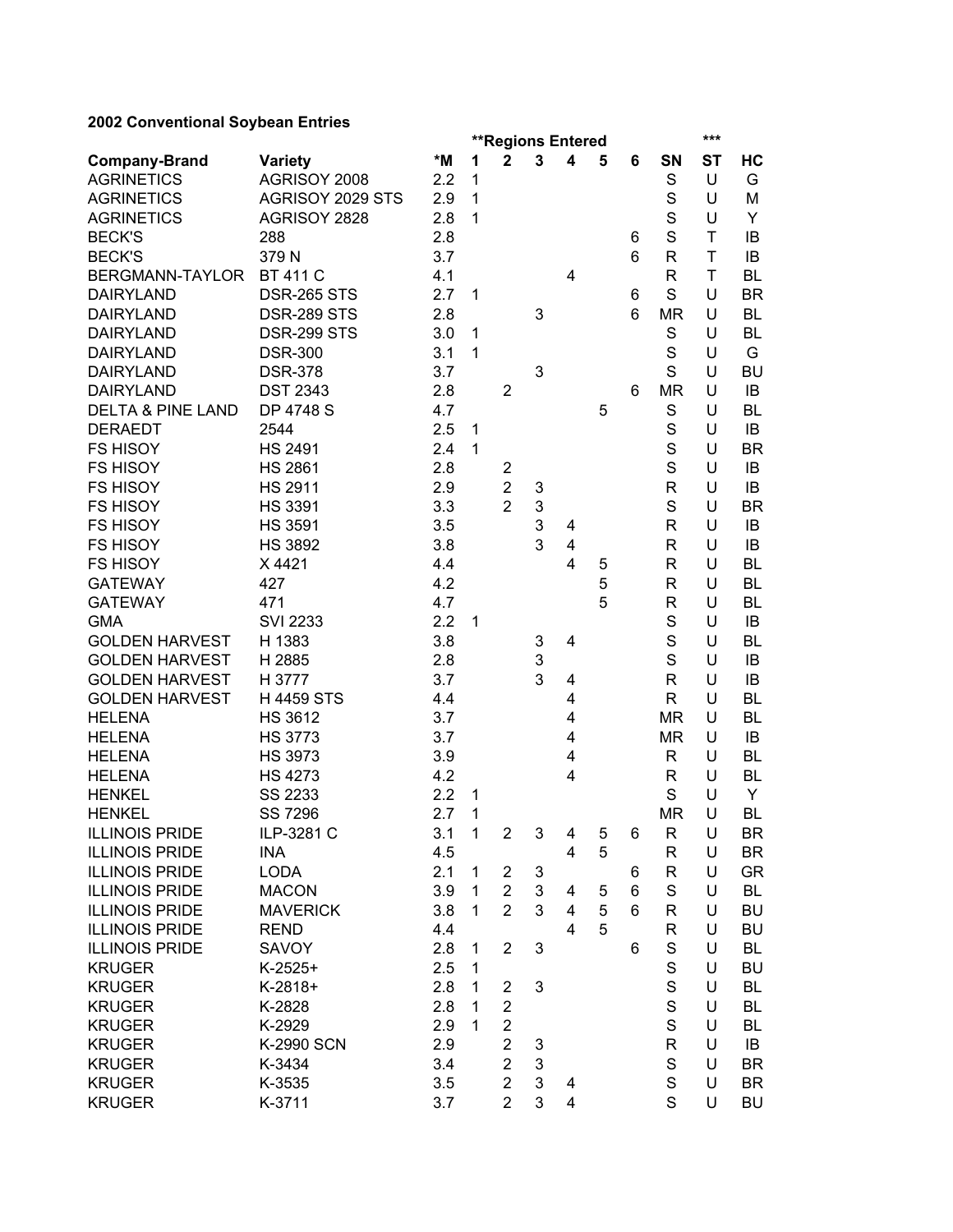## **2002 Conventional Soybean Entries**

|                              |                    | ***<br><b>**Regions Entered</b> |              |                         |   |                |        |   |              |           |           |
|------------------------------|--------------------|---------------------------------|--------------|-------------------------|---|----------------|--------|---|--------------|-----------|-----------|
| <b>Company-Brand</b>         | <b>Variety</b>     | *M                              | 1            | $\mathbf{2}$            | 3 | 4              | 5      | 6 | SN           | <b>ST</b> | HC        |
| <b>AGRINETICS</b>            | AGRISOY 2008       | 2.2                             | 1            |                         |   |                |        |   | S            | U         | G         |
| <b>AGRINETICS</b>            | AGRISOY 2029 STS   | 2.9                             | $\mathbf{1}$ |                         |   |                |        |   | S            | U         | M         |
| <b>AGRINETICS</b>            | AGRISOY 2828       | 2.8                             | $\mathbf{1}$ |                         |   |                |        |   | S            | U         | Y         |
| <b>BECK'S</b>                | 288                | 2.8                             |              |                         |   |                |        | 6 | S            | T         | IB        |
| <b>BECK'S</b>                | 379N               | 3.7                             |              |                         |   |                |        | 6 | R            | T         | IB        |
| BERGMANN-TAYLOR              | <b>BT 411 C</b>    | 4.1                             |              |                         |   | 4              |        |   | R            | T         | <b>BL</b> |
| <b>DAIRYLAND</b>             | <b>DSR-265 STS</b> | 2.7                             | 1            |                         |   |                |        | 6 | S            | U         | <b>BR</b> |
| <b>DAIRYLAND</b>             | <b>DSR-289 STS</b> | 2.8                             |              |                         | 3 |                |        | 6 | <b>MR</b>    | U         | BL        |
| <b>DAIRYLAND</b>             | <b>DSR-299 STS</b> | 3.0                             | 1            |                         |   |                |        |   | S            | U         | <b>BL</b> |
| <b>DAIRYLAND</b>             | <b>DSR-300</b>     | 3.1                             | 1            |                         |   |                |        |   | S            | U         | G         |
| <b>DAIRYLAND</b>             | <b>DSR-378</b>     | 3.7                             |              |                         | 3 |                |        |   | S            | U         | <b>BU</b> |
| <b>DAIRYLAND</b>             | <b>DST 2343</b>    | 2.8                             |              | $\overline{2}$          |   |                |        | 6 | <b>MR</b>    | U         | IB        |
| <b>DELTA &amp; PINE LAND</b> | <b>DP 4748 S</b>   | 4.7                             |              |                         |   |                | 5      |   | S            | U         | <b>BL</b> |
| <b>DERAEDT</b>               | 2544               | 2.5                             | 1            |                         |   |                |        |   | S            | U         | IB        |
| <b>FS HISOY</b>              | <b>HS 2491</b>     | 2.4                             | $\mathbf{1}$ |                         |   |                |        |   | S            | U         | <b>BR</b> |
| <b>FS HISOY</b>              | <b>HS 2861</b>     | 2.8                             |              | $\overline{\mathbf{c}}$ |   |                |        |   | S            | U         | IB        |
| <b>FS HISOY</b>              | <b>HS 2911</b>     | 2.9                             |              | $\overline{2}$          | 3 |                |        |   | R            | U         | IB        |
| <b>FS HISOY</b>              | <b>HS 3391</b>     | 3.3                             |              | $\overline{2}$          | 3 |                |        |   | S            | U         | <b>BR</b> |
| <b>FS HISOY</b>              | <b>HS 3591</b>     | 3.5                             |              |                         | 3 | 4              |        |   | R            | U         | IB        |
| <b>FS HISOY</b>              | <b>HS 3892</b>     | 3.8                             |              |                         | 3 | 4              |        |   | R            | U         | IB        |
| <b>FS HISOY</b>              | X4421              | 4.4                             |              |                         |   | 4              | 5      |   | $\mathsf{R}$ | U         | <b>BL</b> |
| <b>GATEWAY</b>               | 427                | 4.2                             |              |                         |   |                | 5      |   | R            | U         | <b>BL</b> |
| <b>GATEWAY</b>               | 471                | 4.7                             |              |                         |   |                | 5      |   | R            | U         | <b>BL</b> |
| <b>GMA</b>                   | <b>SVI 2233</b>    | 2.2                             | 1            |                         |   |                |        |   | S            | U         | IB        |
| <b>GOLDEN HARVEST</b>        | H 1383             | 3.8                             |              |                         | 3 | 4              |        |   | S            | U         | <b>BL</b> |
| <b>GOLDEN HARVEST</b>        | H 2885             | 2.8                             |              |                         | 3 |                |        |   | S            | U         | IB        |
| <b>GOLDEN HARVEST</b>        | H 3777             | 3.7                             |              |                         | 3 | 4              |        |   | R            | U         | IB        |
| <b>GOLDEN HARVEST</b>        | <b>H4459 STS</b>   | 4.4                             |              |                         |   | 4              |        |   | R            | U         | <b>BL</b> |
| <b>HELENA</b>                | <b>HS 3612</b>     | 3.7                             |              |                         |   | 4              |        |   | <b>MR</b>    | U         | <b>BL</b> |
| <b>HELENA</b>                | <b>HS 3773</b>     | 3.7                             |              |                         |   | 4              |        |   | <b>MR</b>    | U         | IB        |
| <b>HELENA</b>                | <b>HS 3973</b>     | 3.9                             |              |                         |   | 4              |        |   | R            | U         | BL        |
| <b>HELENA</b>                | <b>HS 4273</b>     | 4.2                             |              |                         |   | 4              |        |   | R            | U         | <b>BL</b> |
| <b>HENKEL</b>                | SS 2233            | 2.2                             | 1            |                         |   |                |        |   | S            | U         | Y         |
| <b>HENKEL</b>                | <b>SS 7296</b>     | 2.7                             | 1            |                         |   |                |        |   | <b>MR</b>    | U         | <b>BL</b> |
| <b>ILLINOIS PRIDE</b>        | ILP-3281 C         | 3.1                             | $\mathbf{1}$ | $\overline{\mathbf{c}}$ | 3 | 4              | 5      | 6 | $\mathsf{R}$ | U         | BR        |
| <b>ILLINOIS PRIDE</b>        | <b>INA</b>         | 4.5                             |              |                         |   | 4              | 5      |   | R            | U         | BR        |
| <b>ILLINOIS PRIDE</b>        | <b>LODA</b>        | 2.1                             | 1            | $\overline{\mathbf{c}}$ | 3 |                |        | 6 | R            | U         | GR        |
| <b>ILLINOIS PRIDE</b>        | <b>MACON</b>       | 3.9                             | $\mathbf{1}$ | $\overline{2}$          | 3 | 4              |        | 6 | S            | U         | BL        |
| <b>ILLINOIS PRIDE</b>        | <b>MAVERICK</b>    |                                 | 1            | $\overline{2}$          | 3 | $\overline{4}$ | 5<br>5 | 6 |              | U         |           |
| <b>ILLINOIS PRIDE</b>        |                    | 3.8<br>4.4                      |              |                         |   | 4              | 5      |   | R            | U         | BU        |
|                              | <b>REND</b>        |                                 |              |                         |   |                |        |   | R            |           | BU        |
| <b>ILLINOIS PRIDE</b>        | SAVOY              | 2.8                             | 1            | $\overline{2}$          | 3 |                |        | 6 | S            | U         | BL        |
| <b>KRUGER</b>                | $K-2525+$          | 2.5                             | 1            |                         |   |                |        |   | $\mathbf S$  | U         | BU        |
| <b>KRUGER</b>                | K-2818+            | 2.8                             | 1            | $\overline{\mathbf{c}}$ | 3 |                |        |   | $\mathbf S$  | U         | BL        |
| <b>KRUGER</b>                | K-2828             | 2.8                             | 1            | $\overline{2}$          |   |                |        |   | S            | U         | BL        |
| <b>KRUGER</b>                | K-2929             | 2.9                             | 1            | $\overline{2}$          |   |                |        |   | S            | U         | BL        |
| <b>KRUGER</b>                | K-2990 SCN         | 2.9                             |              | $\overline{2}$          | 3 |                |        |   | R            | U         | IB        |
| <b>KRUGER</b>                | K-3434             | 3.4                             |              | $\overline{2}$          | 3 |                |        |   | S            | U         | BR        |
| <b>KRUGER</b>                | K-3535             | 3.5                             |              | $\overline{2}$          | 3 | 4              |        |   | S            | U         | <b>BR</b> |
| <b>KRUGER</b>                | K-3711             | 3.7                             |              | $\overline{2}$          | 3 | 4              |        |   | S            | U         | <b>BU</b> |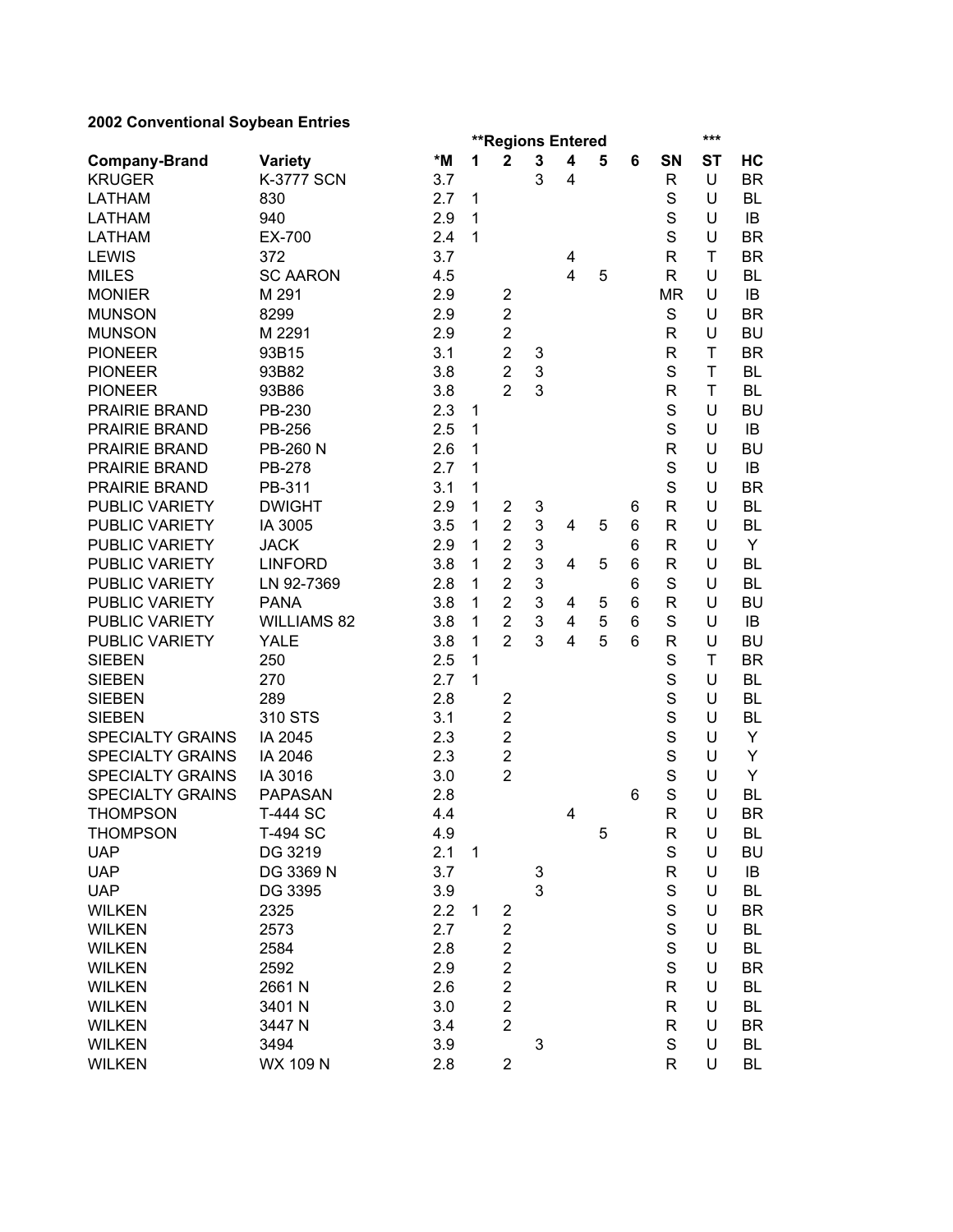## **2002 Conventional Soybean Entries**

| 2002 CONVENTIONAL OUYDEAN LINNES |                    |     |              |                          |   |                         |   |   |              |             |           |  |  |
|----------------------------------|--------------------|-----|--------------|--------------------------|---|-------------------------|---|---|--------------|-------------|-----------|--|--|
|                                  |                    |     |              | <b>**Regions Entered</b> |   |                         |   |   |              |             | ***       |  |  |
| <b>Company-Brand</b>             | <b>Variety</b>     | *M  | 1            | $\mathbf{2}$             | 3 | $\overline{\mathbf{4}}$ | 5 | 6 | SN           | <b>ST</b>   | НC        |  |  |
| <b>KRUGER</b>                    | <b>K-3777 SCN</b>  | 3.7 |              |                          | 3 | 4                       |   |   | R            | U           | <b>BR</b> |  |  |
| <b>LATHAM</b>                    | 830                | 2.7 | 1            |                          |   |                         |   |   | S            | U           | BL        |  |  |
| <b>LATHAM</b>                    | 940                | 2.9 | $\mathbf{1}$ |                          |   |                         |   |   | S            | U           | IB        |  |  |
| <b>LATHAM</b>                    | EX-700             | 2.4 | $\mathbf{1}$ |                          |   |                         |   |   | S            | U           | <b>BR</b> |  |  |
| <b>LEWIS</b>                     | 372                | 3.7 |              |                          |   | 4                       |   |   | R            | T           | <b>BR</b> |  |  |
| <b>MILES</b>                     | <b>SC AARON</b>    | 4.5 |              |                          |   | $\overline{4}$          | 5 |   | R            | U           | BL        |  |  |
| <b>MONIER</b>                    | M 291              | 2.9 |              | $\overline{\mathbf{c}}$  |   |                         |   |   | <b>MR</b>    | U           | IB        |  |  |
| <b>MUNSON</b>                    | 8299               | 2.9 |              | $\overline{2}$           |   |                         |   |   | S            | U           | <b>BR</b> |  |  |
| <b>MUNSON</b>                    | M 2291             | 2.9 |              | $\overline{2}$           |   |                         |   |   | R            | U           | <b>BU</b> |  |  |
| <b>PIONEER</b>                   | 93B15              | 3.1 |              | $\overline{2}$           | 3 |                         |   |   | R            | $\mathsf T$ | <b>BR</b> |  |  |
| <b>PIONEER</b>                   | 93B82              | 3.8 |              | $\overline{2}$           | 3 |                         |   |   | S            | T           | BL        |  |  |
| <b>PIONEER</b>                   | 93B86              | 3.8 |              | $\overline{2}$           | 3 |                         |   |   | R            | T           | BL        |  |  |
| PRAIRIE BRAND                    | PB-230             | 2.3 | 1            |                          |   |                         |   |   | S            | U           | <b>BU</b> |  |  |
| PRAIRIE BRAND                    | <b>PB-256</b>      | 2.5 | $\mathbf{1}$ |                          |   |                         |   |   | S            | U           | IB        |  |  |
| PRAIRIE BRAND                    | PB-260 N           | 2.6 | $\mathbf{1}$ |                          |   |                         |   |   | R            | U           | <b>BU</b> |  |  |
| PRAIRIE BRAND                    | <b>PB-278</b>      | 2.7 | $\mathbf{1}$ |                          |   |                         |   |   | S            | U           | IB        |  |  |
| PRAIRIE BRAND                    | PB-311             | 3.1 | $\mathbf{1}$ |                          |   |                         |   |   | S            | U           | <b>BR</b> |  |  |
| PUBLIC VARIETY                   | <b>DWIGHT</b>      | 2.9 | $\mathbf{1}$ | $\overline{2}$           | 3 |                         |   | 6 | R            | U           | BL        |  |  |
| <b>PUBLIC VARIETY</b>            | IA 3005            | 3.5 | $\mathbf 1$  | $\overline{2}$           | 3 | $\overline{4}$          | 5 | 6 | R            | U           | <b>BL</b> |  |  |
| PUBLIC VARIETY                   | <b>JACK</b>        | 2.9 | $\mathbf{1}$ | $\overline{2}$           | 3 |                         |   | 6 | R            | U           | Y         |  |  |
| <b>PUBLIC VARIETY</b>            | <b>LINFORD</b>     | 3.8 | $\mathbf{1}$ | $\overline{2}$           | 3 | 4                       | 5 | 6 | R            | U           | <b>BL</b> |  |  |
| PUBLIC VARIETY                   | LN 92-7369         | 2.8 | 1            | $\overline{2}$           | 3 |                         |   | 6 | S            | U           | BL        |  |  |
| PUBLIC VARIETY                   | <b>PANA</b>        | 3.8 | $\mathbf{1}$ | $\overline{2}$           | 3 | 4                       | 5 | 6 | R            | U           | <b>BU</b> |  |  |
| PUBLIC VARIETY                   | <b>WILLIAMS 82</b> | 3.8 | 1            | $\overline{2}$           | 3 | 4                       | 5 | 6 | S            | U           | IB        |  |  |
| PUBLIC VARIETY                   | <b>YALE</b>        | 3.8 | 1            | $\overline{2}$           | 3 | 4                       | 5 | 6 | R            | U           | <b>BU</b> |  |  |
| <b>SIEBEN</b>                    | 250                | 2.5 | 1            |                          |   |                         |   |   | S            | T           | <b>BR</b> |  |  |
| <b>SIEBEN</b>                    | 270                | 2.7 | $\mathbf{1}$ |                          |   |                         |   |   | S            | U           | BL        |  |  |
| <b>SIEBEN</b>                    | 289                | 2.8 |              | $\overline{\mathbf{c}}$  |   |                         |   |   | S            | U           | BL        |  |  |
| <b>SIEBEN</b>                    | 310 STS            | 3.1 |              | $\mathbf 2$              |   |                         |   |   | S            | U           | BL        |  |  |
| <b>SPECIALTY GRAINS</b>          | IA 2045            | 2.3 |              | $\overline{2}$           |   |                         |   |   | S            | U           | Y         |  |  |
| <b>SPECIALTY GRAINS</b>          | IA 2046            | 2.3 |              | $\mathbf 2$              |   |                         |   |   | S            | U           | Υ         |  |  |
| <b>SPECIALTY GRAINS</b>          | IA 3016            | 3.0 |              | $\overline{2}$           |   |                         |   |   | S            | U           | Y         |  |  |
| <b>SPECIALTY GRAINS</b>          | <b>PAPASAN</b>     | 2.8 |              |                          |   |                         |   | 6 | S            | U           | BL        |  |  |
| <b>THOMPSON</b>                  | <b>T-444 SC</b>    | 4.4 |              |                          |   | 4                       |   |   | R            | U           | <b>BR</b> |  |  |
| <b>THOMPSON</b>                  | T-494 SC           | 4.9 |              |                          |   |                         | 5 |   | R            | U           | BL        |  |  |
| <b>UAP</b>                       | DG 3219            | 2.1 | $\mathbf 1$  |                          |   |                         |   |   | S            | U           | BU        |  |  |
| <b>UAP</b>                       | DG 3369 N          | 3.7 |              |                          | 3 |                         |   |   | R            | U           | IB        |  |  |
| <b>UAP</b>                       | DG 3395            | 3.9 |              |                          | 3 |                         |   |   | S            | U           | BL        |  |  |
| <b>WILKEN</b>                    | 2325               | 2.2 | 1            | $\overline{2}$           |   |                         |   |   | S            | U           | BR        |  |  |
| <b>WILKEN</b>                    | 2573               | 2.7 |              | $\overline{2}$           |   |                         |   |   | S            | U           | BL        |  |  |
| <b>WILKEN</b>                    | 2584               | 2.8 |              | $\mathbf 2$              |   |                         |   |   | $\mathsf{s}$ | U           | BL        |  |  |
| <b>WILKEN</b>                    | 2592               | 2.9 |              | $\overline{2}$           |   |                         |   |   | $\mathbf S$  | U           | BR        |  |  |
| <b>WILKEN</b>                    | 2661N              | 2.6 |              | $\overline{\mathbf{c}}$  |   |                         |   |   | R            | U           | BL        |  |  |
| <b>WILKEN</b>                    | 3401N              | 3.0 |              | $\overline{2}$           |   |                         |   |   | R            | U           | BL        |  |  |
| <b>WILKEN</b>                    | 3447 N             | 3.4 |              | $\overline{2}$           |   |                         |   |   | R            | U           | <b>BR</b> |  |  |
| <b>WILKEN</b>                    | 3494               |     |              |                          | 3 |                         |   |   | S            | U           | BL        |  |  |
|                                  |                    | 3.9 |              |                          |   |                         |   |   |              |             |           |  |  |
| <b>WILKEN</b>                    | WX 109 N           | 2.8 |              | $\overline{\mathbf{c}}$  |   |                         |   |   | R            | U           | BL        |  |  |